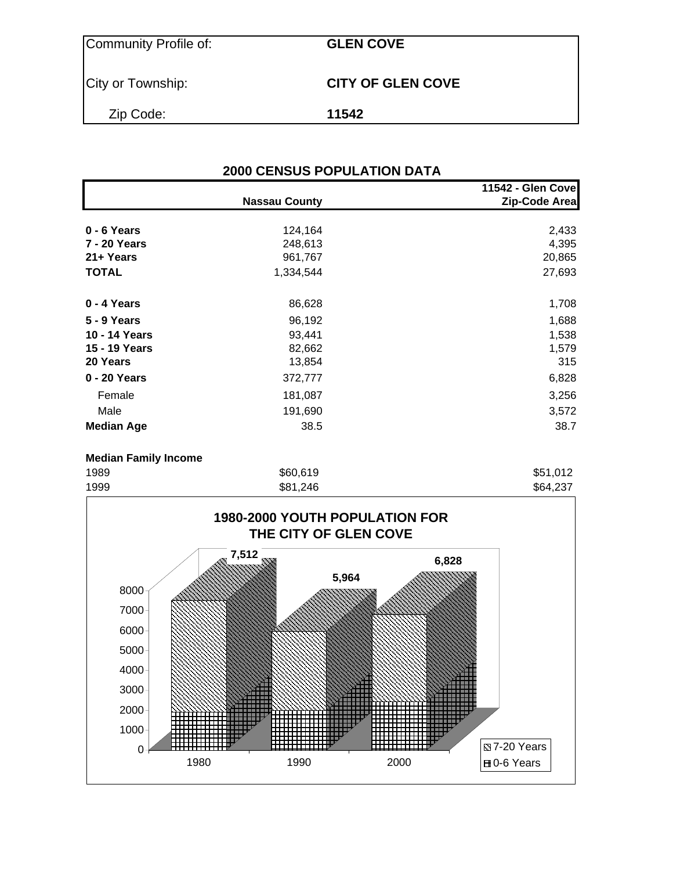| Community Profile of: | <b>GLEN COVE</b>         |
|-----------------------|--------------------------|
| City or Township:     | <b>CITY OF GLEN COVE</b> |
| Zip Code:             | 11542                    |

## **2000 CENSUS POPULATION DATA 11542 - Glen Cove Nassau County Zip-Code Area 0 - 6 Years** 2,433<br> **7 - 20 Years** 20 **Years** 248,613 **7 - 20 Years** 248,613 **21+ Years** 20,865 **TOTAL** 27,693 **0 - 4 Years** 1,708

| 5 - 9 Years       | 96,192  | 1,688 |
|-------------------|---------|-------|
| 10 - 14 Years     | 93,441  | 1,538 |
| 15 - 19 Years     | 82,662  | 1,579 |
| 20 Years          | 13,854  | 315   |
| 0 - 20 Years      | 372,777 | 6,828 |
| Female            | 181,087 | 3,256 |
| Male              | 191,690 | 3,572 |
| <b>Median Age</b> | 38.5    | 38.7  |
|                   |         |       |

#### **Median Family Income**

| 1989 | \$60,619 | \$51,012 |
|------|----------|----------|
| 1999 | \$81,246 | \$64,237 |

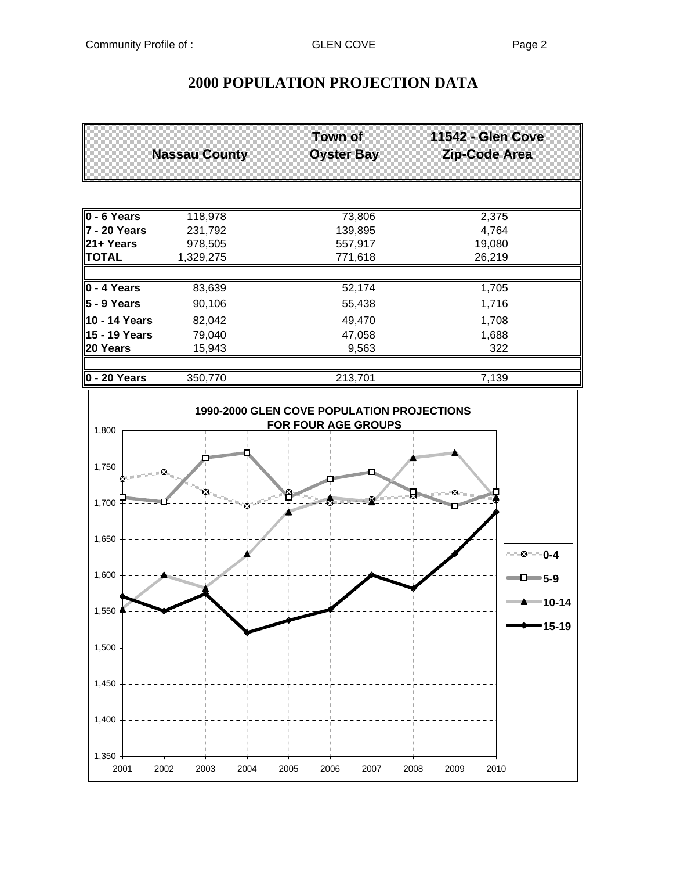# **2000 POPULATION PROJECTION DATA**

|                      | <b>Nassau County</b> | <b>Town of</b><br><b>Oyster Bay</b> | <b>11542 - Glen Cove</b><br>Zip-Code Area |
|----------------------|----------------------|-------------------------------------|-------------------------------------------|
|                      |                      |                                     |                                           |
| $0 - 6$ Years        | 118,978              | 73,806                              | 2,375                                     |
| ∥7 - 20 Years        | 231,792              | 139,895                             | 4,764                                     |
| <b>21+ Years</b>     | 978,505              | 557,917                             | 19,080                                    |
| <b>TOTAL</b>         | 1,329,275            | 771,618                             | 26,219                                    |
|                      |                      |                                     |                                           |
| $0 - 4$ Years        | 83,639               | 52,174                              | 1,705                                     |
| $5 - 9$ Years        | 90,106               | 55,438                              | 1,716                                     |
| <b>10 - 14 Years</b> | 82,042               | 49,470                              | 1,708                                     |
| <b>15 - 19 Years</b> | 79,040               | 47,058                              | 1,688                                     |
| 20 Years             | 15,943               | 9,563                               | 322                                       |
|                      |                      |                                     |                                           |
| $0 - 20$ Years       | 350,770              | 213,701                             | 7,139                                     |

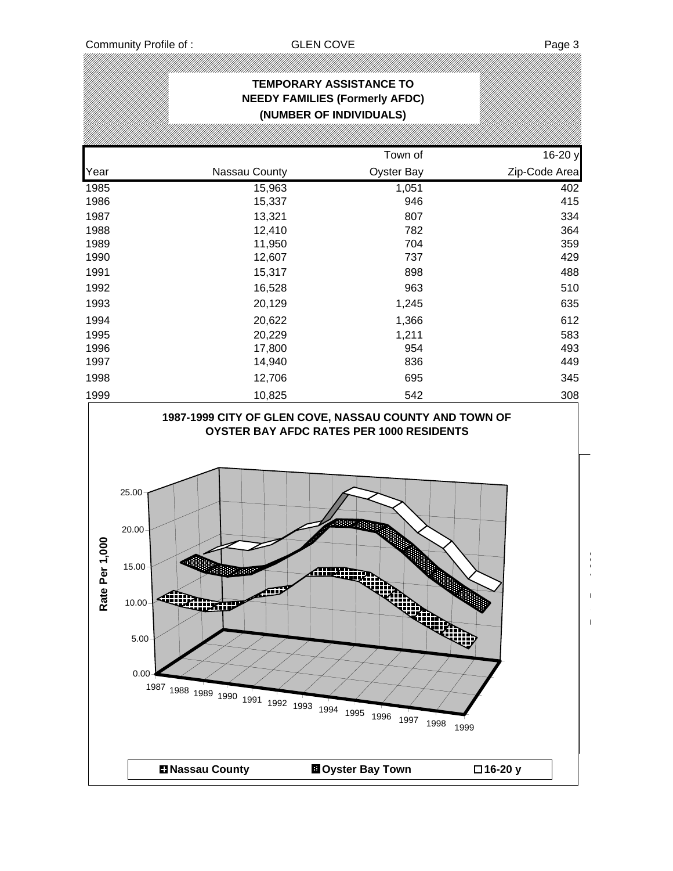.<br>!///

|--|

|                   |                                                                                                                                                                | <b>TEMPORARY ASSISTANCE TO</b><br><b>NEEDY FAMILIES (Formerly AFDC)</b> |                                 |
|-------------------|----------------------------------------------------------------------------------------------------------------------------------------------------------------|-------------------------------------------------------------------------|---------------------------------|
|                   |                                                                                                                                                                | (NUMBER OF INDIVIDUALS)                                                 |                                 |
|                   |                                                                                                                                                                | Town of                                                                 | 16-20 y                         |
| Year              | Nassau County                                                                                                                                                  | Oyster Bay                                                              | Zip-Code Area                   |
| 1985              | 15,963                                                                                                                                                         | 1,051                                                                   | 402                             |
| 1986              | 15,337                                                                                                                                                         | 946                                                                     | 415                             |
| 1987              | 13,321                                                                                                                                                         | 807                                                                     | 334                             |
| 1988              | 12,410                                                                                                                                                         | 782                                                                     | 364                             |
| 1989<br>1990      | 11,950<br>12,607                                                                                                                                               | 704<br>737                                                              | 359<br>429                      |
| 1991              | 15,317                                                                                                                                                         | 898                                                                     | 488                             |
| 1992              | 16,528                                                                                                                                                         | 963                                                                     | 510                             |
|                   |                                                                                                                                                                |                                                                         |                                 |
| 1993              | 20,129                                                                                                                                                         | 1,245                                                                   | 635                             |
| 1994              | 20,622                                                                                                                                                         | 1,366                                                                   | 612                             |
| 1995<br>1996      | 20,229<br>17,800                                                                                                                                               | 1,211<br>954                                                            | 583<br>493                      |
| 1997              | 14,940                                                                                                                                                         | 836                                                                     | 449                             |
| 1998              | 12,706                                                                                                                                                         | 695                                                                     | 345                             |
|                   |                                                                                                                                                                |                                                                         |                                 |
| 1999              | 10,825                                                                                                                                                         | 542                                                                     | 308                             |
| 1,000<br>Rate Per | 25.00<br>20.00<br>$15.00 +$<br>Sultan Caddes<br>LIFE<br>ፈ]™<br>10.00<br><b>CURTIP</b><br>$5.00 -$<br>0.00<br>1987 1988 1989 1990 1991 1992 1993 1994 1995 1996 | AIIKN<br>₩.                                                             | $\overline{\phantom{a}}$<br>ويت |
|                   | <b>El Nassau County</b>                                                                                                                                        | 1997<br><b>El</b> Oyster Bay Town                                       | 1998<br>1999<br>□16-20 y        |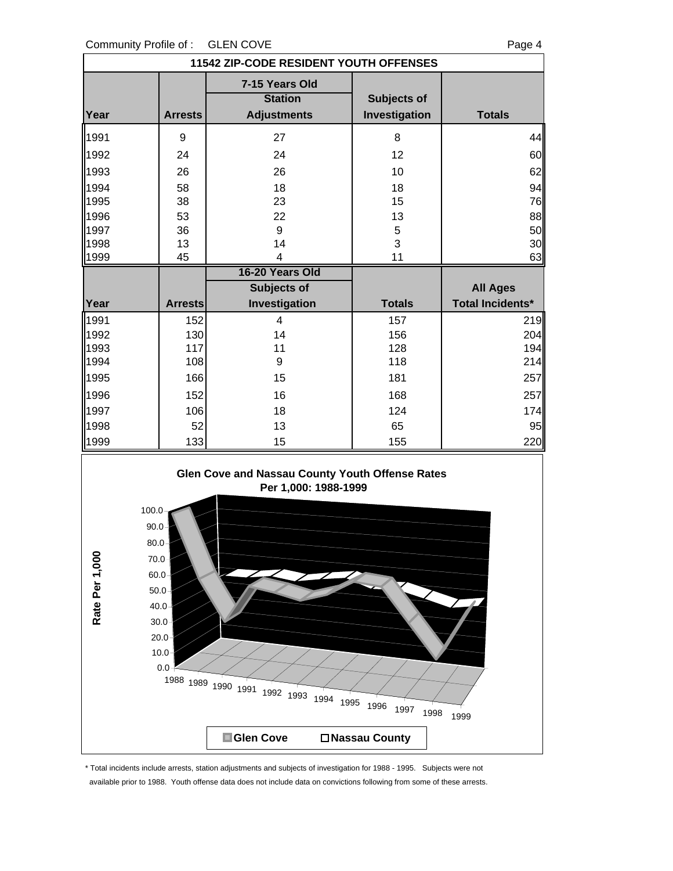0.0 10.0

| Community Profile of:<br><b>GLEN COVE</b><br>Page 4                                                                                                                            |                |                                        |               |                         |  |  |  |
|--------------------------------------------------------------------------------------------------------------------------------------------------------------------------------|----------------|----------------------------------------|---------------|-------------------------|--|--|--|
|                                                                                                                                                                                |                | 11542 ZIP-CODE RESIDENT YOUTH OFFENSES |               |                         |  |  |  |
|                                                                                                                                                                                |                | 7-15 Years Old                         |               |                         |  |  |  |
|                                                                                                                                                                                |                | <b>Station</b>                         | Subjects of   |                         |  |  |  |
| Year                                                                                                                                                                           | <b>Arrests</b> | <b>Adjustments</b>                     | Investigation | <b>Totals</b>           |  |  |  |
| 1991                                                                                                                                                                           | 9              | 27                                     | 8             | 44                      |  |  |  |
| 1992                                                                                                                                                                           | 24             | 24                                     | 12            | 60                      |  |  |  |
| 1993                                                                                                                                                                           | 26             | 26                                     | 10            | 62                      |  |  |  |
| 1994                                                                                                                                                                           | 58             | 18                                     | 18            | 94                      |  |  |  |
| 1995                                                                                                                                                                           | 38             | 23                                     | 15            | 76                      |  |  |  |
| 1996                                                                                                                                                                           | 53             | 22                                     | 13            | 88                      |  |  |  |
| 1997                                                                                                                                                                           | 36             | 9                                      | 5             | 50                      |  |  |  |
| 1998                                                                                                                                                                           | 13             | 14                                     | 3             | 30                      |  |  |  |
| 1999                                                                                                                                                                           | 45             | 4                                      | 11            | 63                      |  |  |  |
|                                                                                                                                                                                |                | 16-20 Years Old                        |               |                         |  |  |  |
|                                                                                                                                                                                |                | Subjects of                            |               | <b>All Ages</b>         |  |  |  |
| Year                                                                                                                                                                           | <b>Arrests</b> | Investigation                          | <b>Totals</b> | <b>Total Incidents*</b> |  |  |  |
| 1991                                                                                                                                                                           | 152            | 4                                      | 157           | 219                     |  |  |  |
| 1992                                                                                                                                                                           | 130            | 14                                     | 156           | 204                     |  |  |  |
| 1993                                                                                                                                                                           | 117            | 11                                     | 128           | 194                     |  |  |  |
| 1994                                                                                                                                                                           | 108            | 9                                      | 118           | 214                     |  |  |  |
| 1995                                                                                                                                                                           | 166            | 15                                     | 181           | 257                     |  |  |  |
| 1996                                                                                                                                                                           | 152            | 16                                     | 168           | 257                     |  |  |  |
| 1997                                                                                                                                                                           | 106            | 18                                     | 124           | 174                     |  |  |  |
| 1998                                                                                                                                                                           | 52             | 13                                     | 65            | 95                      |  |  |  |
| 1999                                                                                                                                                                           | 133            | 15                                     | 155           | 220                     |  |  |  |
| Glen Cove and Nassau County Youth Offense Rates<br>Per 1,000: 1988-1999<br>100.0<br>90.0<br>80.0<br>Rate Per 1,000<br>$70.0 -$<br>$60.0 -$<br>$50.0 -$<br>40.0<br>30.0<br>20.0 |                |                                        |               |                         |  |  |  |

\* Total incidents include arrests, station adjustments and subjects of investigation for 1988 - 1995. Subjects were not available prior to 1988. Youth offense data does not include data on convictions following from some of these arrests.

<sup>1988</sup> <sup>1989</sup> <sup>1990</sup> <sup>1991</sup> <sup>1992</sup> <sup>1993</sup> <sup>1994</sup> <sup>1995</sup> <sup>1996</sup> <sup>1997</sup> <sup>1998</sup> <sup>1999</sup>

■ Glen Cove 
<br>
□ Nassau County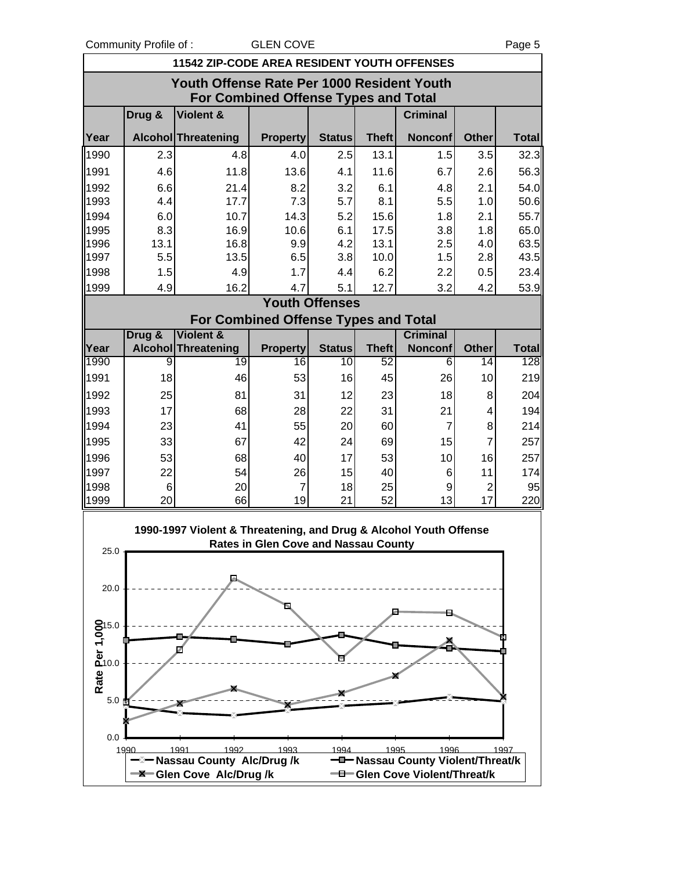Community Profile of : GLEN COVE The State of the Page 5

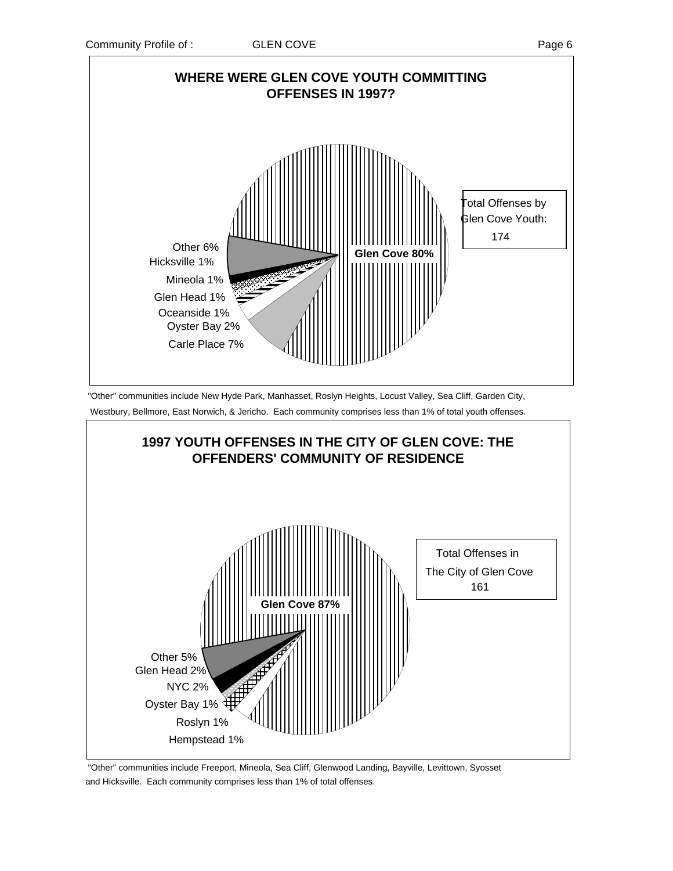

 "Other" communities include New Hyde Park, Manhasset, Roslyn Heights, Locust Valley, Sea Cliff, Garden City, Westbury, Bellmore, East Norwich, & Jericho. Each community comprises less than 1% of total youth offenses.



 "Other" communities include Freeport, Mineola, Sea Cliff, Glenwood Landing, Bayville, Levittown, Syosset and Hicksville. Each community comprises less than 1% of total offenses.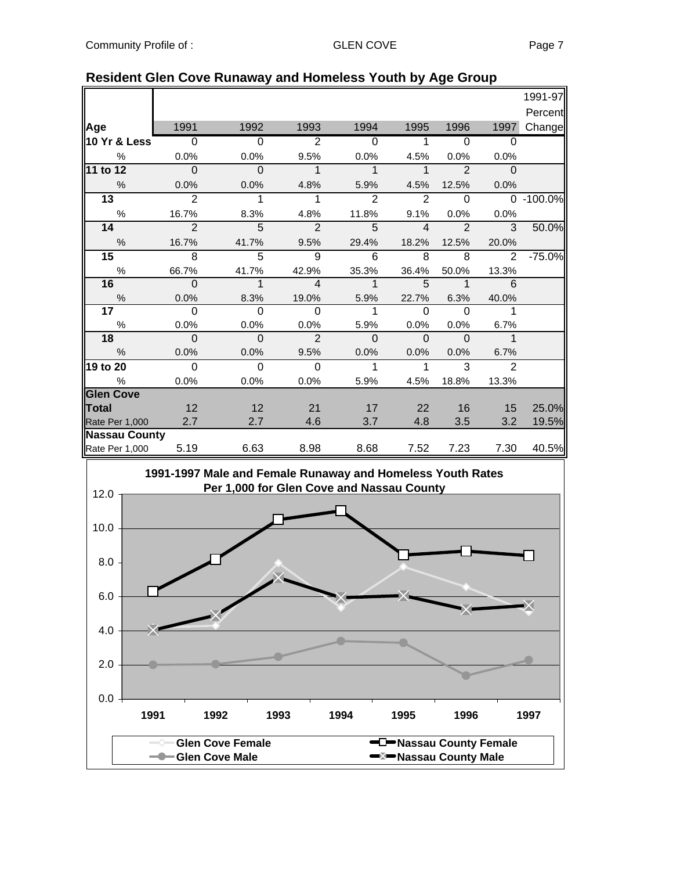|                      |                          |                            |                |                |                |                            |                | 1991-97       |
|----------------------|--------------------------|----------------------------|----------------|----------------|----------------|----------------------------|----------------|---------------|
|                      |                          |                            |                |                |                |                            |                | Percent       |
| Age                  | 1991                     | 1992                       | 1993           | 1994           | 1995           | 1996                       | 1997           | Change        |
| 10 Yr & Less         | $\overline{\phantom{0}}$ | $\overline{0}$             | $\overline{2}$ | $\overline{0}$ | $\overline{1}$ | $\overline{0}$             | $\Omega$       |               |
| $\%$                 | 0.0%                     | 0.0%                       | 9.5%           | 0.0%           | 4.5%           | 0.0%                       | 0.0%           |               |
| 11 to 12             | $\overline{\phantom{0}}$ | $\overline{\phantom{0}}$   | $\mathbf{1}$   | $\overline{1}$ | $\overline{1}$ | $\overline{2}$             | $\Omega$       |               |
| $\%$                 | 0.0%                     | 0.0%                       | 4.8%           | 5.9%           | 4.5%           | 12.5%                      | 0.0%           |               |
| 13                   | $\overline{2}$           | $\overline{1}$             | $\mathbf{1}$   | 2              | 2              | $\mathbf 0$                |                | $0 - 100.0\%$ |
| $\%$                 | 16.7%                    | 8.3%                       | 4.8%           | 11.8%          | 9.1%           | $0.0\%$                    | 0.0%           |               |
| 14                   | $\mathfrak{p}$           | $\overline{\phantom{0}}$   | $\overline{2}$ | 5              | $\overline{4}$ | $\overline{2}$             | $\overline{3}$ | 50.0%         |
| $\%$                 | 16.7%                    | 41.7%                      | 9.5%           | 29.4%          | 18.2%          | 12.5%                      | 20.0%          |               |
| 15 <sub>1</sub>      | $\overline{8}$           | $\overline{5}$             | 9              | 6              | 8              | 8                          | 2              | $-75.0%$      |
| %                    | 66.7%                    | 41.7%                      | 42.9%          | 35.3%          | 36.4%          | 50.0%                      | 13.3%          |               |
| 16                   | $\overline{\phantom{0}}$ | $\overline{\phantom{a}}$ 1 | $\overline{4}$ | $\overline{1}$ | - 5            | $\overline{\phantom{a}}$ 1 | 6              |               |
| %                    | 0.0%                     | 8.3%                       | 19.0%          | 5.9%           | 22.7%          | 6.3%                       | 40.0%          |               |
| 17 <sub>1</sub>      | $\Omega$                 | $\Omega$                   | $\overline{0}$ | $\overline{1}$ | $\Omega$       | $\Omega$                   | $\overline{1}$ |               |
| $\%$                 | 0.0%                     | 0.0%                       | 0.0%           | 5.9%           | 0.0%           | 0.0%                       | 6.7%           |               |
| 18                   | $\Omega$                 | $\overline{\mathbf{0}}$    | $\overline{2}$ | $\Omega$       | $\Omega$       | $\overline{0}$             | $\mathbf 1$    |               |
| $\%$                 | 0.0%                     | 0.0%                       | 9.5%           | 0.0%           | 0.0%           | 0.0%                       | 6.7%           |               |
| 19 to 20             | $\Omega$                 | $\Omega$                   | $\Omega$       | $\mathbf{1}$   | $\mathbf{1}$   | 3                          | $\overline{2}$ |               |
| %                    | 0.0%                     | 0.0%                       | 0.0%           | 5.9%           | 4.5%           | 18.8%                      | 13.3%          |               |
| <b>Glen Cove</b>     |                          |                            |                |                |                |                            |                |               |
| Total                | 12                       | 12                         | 21             | 17             | 22             | 16                         | 15             | 25.0%         |
| Rate Per 1,000       | 2.7                      | 2.7                        | 4.6            | 3.7            | 4.8            | 3.5                        | 3.2            | 19.5%         |
| <b>Nassau County</b> |                          |                            |                |                |                |                            |                |               |
| Rate Per 1,000       | 5.19                     | 6.63                       | 8.98           | 8.68           | 7.52           | 7.23                       | 7.30           | 40.5%         |

### **Resident Glen Cove Runaway and Homeless Youth by Age Group**

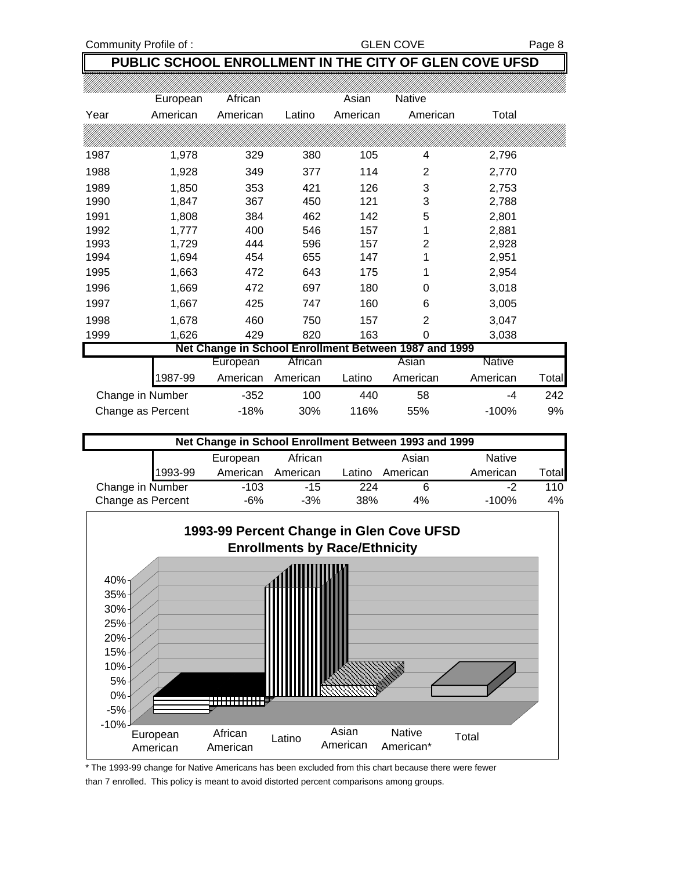Community Profile of : GLEN COVE Rage 8

## **PUBLIC SCHOOL ENROLLMENT IN THE CITY OF GLEN COVE UFSD**

|                                                       | European          | African  |          | Asian    | <b>Native</b>  |               |       |  |  |
|-------------------------------------------------------|-------------------|----------|----------|----------|----------------|---------------|-------|--|--|
| Year                                                  | American          | American | Latino   | American | American       | Total         |       |  |  |
|                                                       |                   |          |          |          |                |               |       |  |  |
| 1987                                                  | 1,978             | 329      | 380      | 105      | 4              | 2,796         |       |  |  |
| 1988                                                  | 1,928             | 349      | 377      | 114      | 2              | 2,770         |       |  |  |
| 1989                                                  | 1,850             | 353      | 421      | 126      | 3              | 2,753         |       |  |  |
| 1990                                                  | 1,847             | 367      | 450      | 121      | 3              | 2,788         |       |  |  |
| 1991                                                  | 1,808             | 384      | 462      | 142      | 5              | 2,801         |       |  |  |
| 1992                                                  | 1,777             | 400      | 546      | 157      | 1              | 2,881         |       |  |  |
| 1993                                                  | 1,729             | 444      | 596      | 157      | 2              | 2,928         |       |  |  |
| 1994                                                  | 1,694             | 454      | 655      | 147      | 1              | 2,951         |       |  |  |
| 1995                                                  | 1,663             | 472      | 643      | 175      |                | 2,954         |       |  |  |
| 1996                                                  | 1,669             | 472      | 697      | 180      | 0              | 3,018         |       |  |  |
| 1997                                                  | 1,667             | 425      | 747      | 160      | 6              | 3,005         |       |  |  |
| 1998                                                  | 1,678             | 460      | 750      | 157      | $\overline{2}$ | 3,047         |       |  |  |
| 1999                                                  | 1,626             | 429      | 820      | 163      | 0              | 3,038         |       |  |  |
| Net Change in School Enrollment Between 1987 and 1999 |                   |          |          |          |                |               |       |  |  |
|                                                       |                   | European | African  |          | Asian          | <b>Native</b> |       |  |  |
|                                                       | 1987-99           | American | American | Latino   | American       | American      | Total |  |  |
|                                                       | Change in Number  | $-352$   | 100      | 440      | 58             | -4            | 242   |  |  |
|                                                       | Change as Percent | $-18%$   | 30%      | 116%     | 55%            | $-100%$       | 9%    |  |  |

| Net Change in School Enrollment Between 1993 and 1999 |         |          |          |        |          |               |                              |  |
|-------------------------------------------------------|---------|----------|----------|--------|----------|---------------|------------------------------|--|
|                                                       |         | European | African  |        | Asian    | <b>Native</b> |                              |  |
|                                                       | 1993-99 | American | American | Latino | American | American      | $\mathsf{T}$ <sub>Otal</sub> |  |
| Change in Number                                      |         | $-103$   | $-15$    | 224    |          | -2            | 110                          |  |
| Change as Percent                                     |         | -6%      | $-3%$    | 38%    | 4%       | $-100%$       | 4%                           |  |



\* The 1993-99 change for Native Americans has been excluded from this chart because there were fewer than 7 enrolled. This policy is meant to avoid distorted percent comparisons among groups.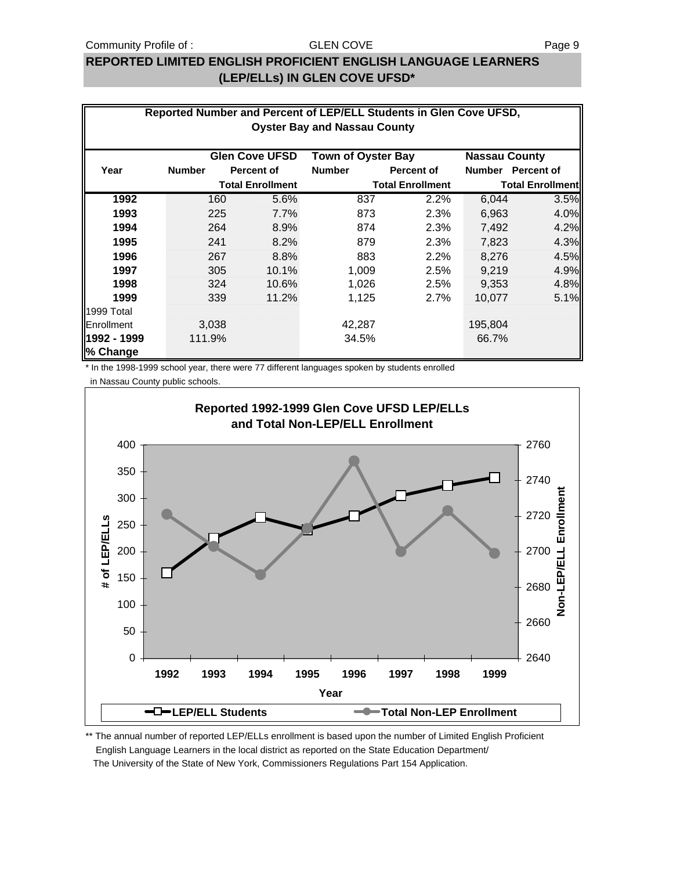#### Community Profile of : GLEN COVE GENERAL STATE Rage 9

#### GLEN COVE

## **REPORTED LIMITED ENGLISH PROFICIENT ENGLISH LANGUAGE LEARNERS (LEP/ELLs) IN GLEN COVE UFSD\***

| Reported Number and Percent of LEP/ELL Students in Glen Cove UFSD,<br><b>Oyster Bay and Nassau County</b> |               |       |                         |                           |                         |                      |                         |  |
|-----------------------------------------------------------------------------------------------------------|---------------|-------|-------------------------|---------------------------|-------------------------|----------------------|-------------------------|--|
|                                                                                                           |               |       | <b>Glen Cove UFSD</b>   | <b>Town of Oyster Bay</b> |                         | <b>Nassau County</b> |                         |  |
| Year                                                                                                      | <b>Number</b> |       | <b>Percent of</b>       | <b>Number</b>             | <b>Percent of</b>       | <b>Number</b>        | <b>Percent of</b>       |  |
|                                                                                                           |               |       | <b>Total Enrollment</b> |                           | <b>Total Enrollment</b> |                      | <b>Total Enrollment</b> |  |
| 1992                                                                                                      |               | 160   | 5.6%                    | 837                       | 2.2%                    | 6,044                | 3.5%                    |  |
| 1993                                                                                                      |               | 225   | 7.7%                    | 873                       | 2.3%                    | 6,963                | 4.0%                    |  |
| 1994                                                                                                      |               | 264   | 8.9%                    | 874                       | 2.3%                    | 7,492                | 4.2%                    |  |
| 1995                                                                                                      |               | 241   | 8.2%                    | 879                       | 2.3%                    | 7,823                | 4.3%                    |  |
| 1996                                                                                                      |               | 267   | 8.8%                    | 883                       | 2.2%                    | 8,276                | 4.5%                    |  |
| 1997                                                                                                      |               | 305   | 10.1%                   | 1,009                     | 2.5%                    | 9,219                | 4.9%                    |  |
| 1998                                                                                                      |               | 324   | 10.6%                   | 1,026                     | 2.5%                    | 9,353                | 4.8%                    |  |
| 1999                                                                                                      |               | 339   | 11.2%                   | 1,125                     | 2.7%                    | 10,077               | 5.1%                    |  |
| 1999 Total                                                                                                |               |       |                         |                           |                         |                      |                         |  |
| Enrollment                                                                                                |               | 3,038 |                         | 42,287                    |                         | 195,804              |                         |  |
| 1992 - 1999                                                                                               | 111.9%        |       |                         | 34.5%                     |                         | 66.7%                |                         |  |
| % Change                                                                                                  |               |       |                         |                           |                         |                      |                         |  |

\* In the 1998-1999 school year, there were 77 different languages spoken by students enrolled

in Nassau County public schools.



\*\* The annual number of reported LEP/ELLs enrollment is based upon the number of Limited English Proficient English Language Learners in the local district as reported on the State Education Department/ The University of the State of New York, Commissioners Regulations Part 154 Application.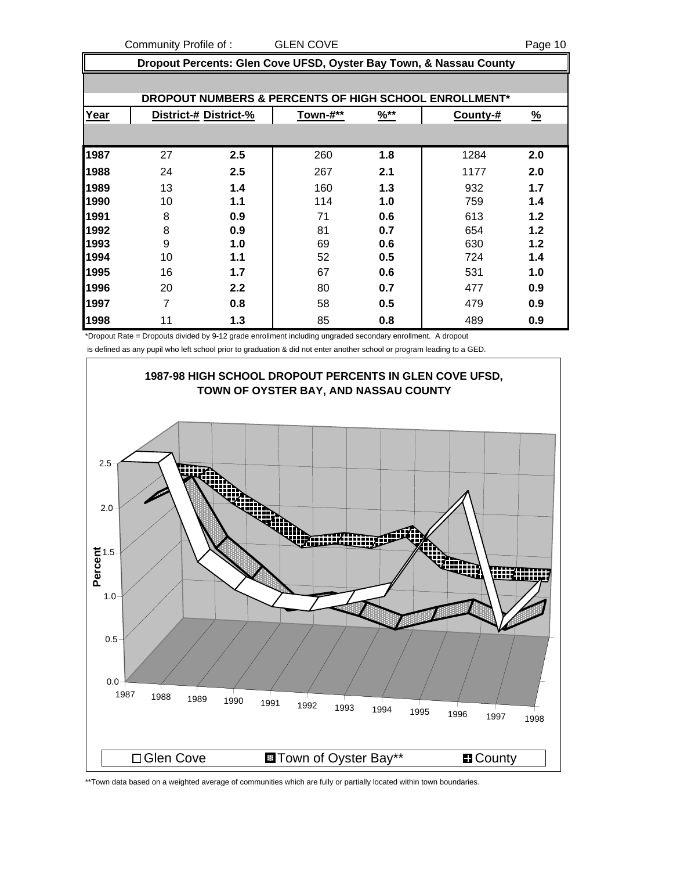Community Profile of : GLEN COVE **COMMUNISTS** Page 10

|      | Dropout Percents: Glen Cove UFSD, Oyster Bay Town, & Nassau County |                       |          |                  |                                                       |          |  |  |
|------|--------------------------------------------------------------------|-----------------------|----------|------------------|-------------------------------------------------------|----------|--|--|
|      |                                                                    |                       |          |                  |                                                       |          |  |  |
|      |                                                                    |                       |          |                  | DROPOUT NUMBERS & PERCENTS OF HIGH SCHOOL ENROLLMENT* |          |  |  |
| Year |                                                                    | District-# District-% | Town-#** | $\frac{96**}{1}$ | County-#                                              | <u>%</u> |  |  |
|      |                                                                    |                       |          |                  |                                                       |          |  |  |
| 1987 | 27                                                                 | $2.5\,$               | 260      | 1.8              | 1284                                                  | 2.0      |  |  |
| 1988 | 24                                                                 | 2.5                   | 267      | 2.1              | 1177                                                  | 2.0      |  |  |
| 1989 | 13                                                                 | 1.4                   | 160      | 1.3              | 932                                                   | 1.7      |  |  |
| 1990 | 10                                                                 | 1.1                   | 114      | 1.0              | 759                                                   | 1.4      |  |  |
| 1991 | 8                                                                  | 0.9                   | 71       | 0.6              | 613                                                   | 1.2      |  |  |
| 1992 | 8                                                                  | 0.9                   | 81       | 0.7              | 654                                                   | 1.2      |  |  |
| 1993 | 9                                                                  | 1.0                   | 69       | 0.6              | 630                                                   | 1.2      |  |  |
| 1994 | 10                                                                 | 1.1                   | 52       | 0.5              | 724                                                   | 1.4      |  |  |
| 1995 | 16                                                                 | 1.7                   | 67       | 0.6              | 531                                                   | 1.0      |  |  |
| 1996 | 20                                                                 | 2.2                   | 80       | 0.7              | 477                                                   | 0.9      |  |  |
| 1997 | 7                                                                  | 0.8                   | 58       | 0.5              | 479                                                   | 0.9      |  |  |
| 1998 | 11                                                                 | 1.3                   | 85       | 0.8              | 489                                                   | 0.9      |  |  |

\*Dropout Rate = Dropouts divided by 9-12 grade enrollment including ungraded secondary enrollment. A dropout

is defined as any pupil who left school prior to graduation & did not enter another school or program leading to a GED.



\*\*Town data based on a weighted average of communities which are fully or partially located within town boundaries.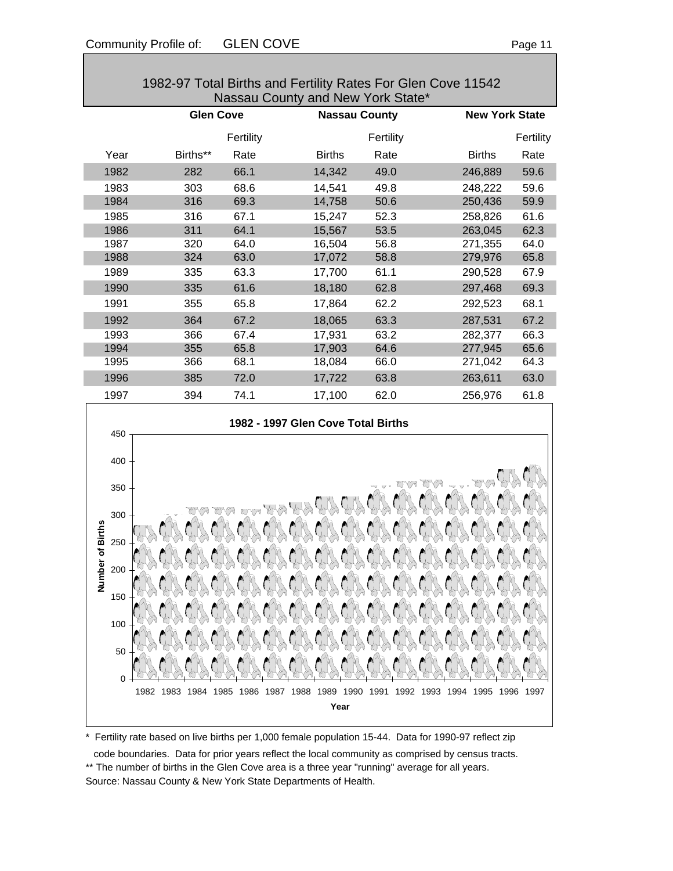| 1982-97 Total Births and Fertility Rates For Glen Cove 11542<br>Nassau County and New York State* |                  |           |               |                      |               |                       |  |  |  |
|---------------------------------------------------------------------------------------------------|------------------|-----------|---------------|----------------------|---------------|-----------------------|--|--|--|
|                                                                                                   | <b>Glen Cove</b> |           |               | <b>Nassau County</b> |               | <b>New York State</b> |  |  |  |
|                                                                                                   |                  | Fertility |               | Fertility            |               | Fertility             |  |  |  |
| Year                                                                                              | Births**         | Rate      | <b>Births</b> | Rate                 | <b>Births</b> | Rate                  |  |  |  |
| 1982                                                                                              | 282              | 66.1      | 14,342        | 49.0                 | 246,889       | 59.6                  |  |  |  |
| 1983                                                                                              | 303              | 68.6      | 14,541        | 49.8                 | 248,222       | 59.6                  |  |  |  |
| 1984                                                                                              | 316              | 69.3      | 14,758        | 50.6                 | 250,436       | 59.9                  |  |  |  |
| 1985                                                                                              | 316              | 67.1      | 15,247        | 52.3                 | 258,826       | 61.6                  |  |  |  |
| 1986                                                                                              | 311              | 64.1      | 15,567        | 53.5                 | 263,045       | 62.3                  |  |  |  |
| 1987                                                                                              | 320              | 64.0      | 16,504        | 56.8                 | 271,355       | 64.0                  |  |  |  |
| 1988                                                                                              | 324              | 63.0      | 17,072        | 58.8                 | 279,976       | 65.8                  |  |  |  |
| 1989                                                                                              | 335              | 63.3      | 17,700        | 61.1                 | 290,528       | 67.9                  |  |  |  |
| 1990                                                                                              | 335              | 61.6      | 18,180        | 62.8                 | 297,468       | 69.3                  |  |  |  |
| 1991                                                                                              | 355              | 65.8      | 17,864        | 62.2                 | 292,523       | 68.1                  |  |  |  |
| 1992                                                                                              | 364              | 67.2      | 18,065        | 63.3                 | 287,531       | 67.2                  |  |  |  |
| 1993                                                                                              | 366              | 67.4      | 17,931        | 63.2                 | 282,377       | 66.3                  |  |  |  |
| 1994                                                                                              | 355              | 65.8      | 17,903        | 64.6                 | 277,945       | 65.6                  |  |  |  |
| 1995                                                                                              | 366              | 68.1      | 18,084        | 66.0                 | 271,042       | 64.3                  |  |  |  |
| 1996                                                                                              | 385              | 72.0      | 17,722        | 63.8                 | 263,611       | 63.0                  |  |  |  |
| 1997                                                                                              | 394              | 74.1      | 17,100        | 62.0                 | 256,976       | 61.8                  |  |  |  |
|                                                                                                   |                  |           |               |                      |               |                       |  |  |  |



\* Fertility rate based on live births per 1,000 female population 15-44. Data for 1990-97 reflect zip

code boundaries. Data for prior years reflect the local community as comprised by census tracts.

\*\* The number of births in the Glen Cove area is a three year "running" average for all years. Source: Nassau County & New York State Departments of Health.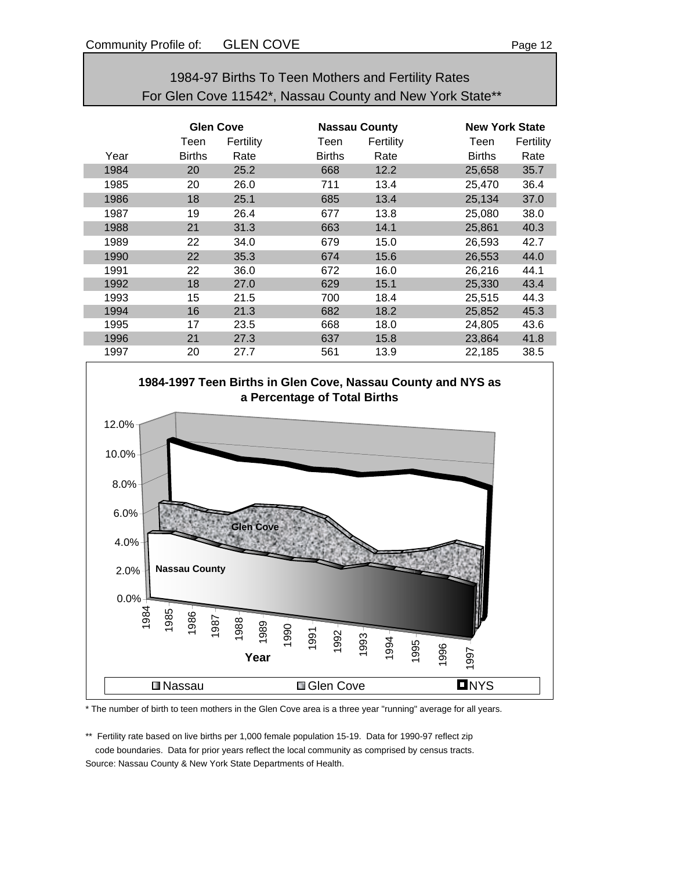| 1984-97 Births To Teen Mothers and Fertility Rates       |
|----------------------------------------------------------|
| For Glen Cove 11542*, Nassau County and New York State** |

|      | <b>Glen Cove</b> |           |               | <b>Nassau County</b> |               | <b>New York State</b> |  |
|------|------------------|-----------|---------------|----------------------|---------------|-----------------------|--|
|      | Teen             | Fertility | Teen          | Fertility            | Teen          | Fertility             |  |
| Year | <b>Births</b>    | Rate      | <b>Births</b> | Rate                 | <b>Births</b> | Rate                  |  |
| 1984 | 20               | 25.2      | 668           | 12.2                 | 25,658        | 35.7                  |  |
| 1985 | 20               | 26.0      | 711           | 13.4                 | 25,470        | 36.4                  |  |
| 1986 | 18               | 25.1      | 685           | 13.4                 | 25,134        | 37.0                  |  |
| 1987 | 19               | 26.4      | 677           | 13.8                 | 25,080        | 38.0                  |  |
| 1988 | 21               | 31.3      | 663           | 14.1                 | 25,861        | 40.3                  |  |
| 1989 | 22               | 34.0      | 679           | 15.0                 | 26,593        | 42.7                  |  |
| 1990 | 22               | 35.3      | 674           | 15.6                 | 26,553        | 44.0                  |  |
| 1991 | 22               | 36.0      | 672           | 16.0                 | 26,216        | 44.1                  |  |
| 1992 | 18               | 27.0      | 629           | 15.1                 | 25,330        | 43.4                  |  |
| 1993 | 15               | 21.5      | 700           | 18.4                 | 25,515        | 44.3                  |  |
| 1994 | 16               | 21.3      | 682           | 18.2                 | 25,852        | 45.3                  |  |
| 1995 | 17               | 23.5      | 668           | 18.0                 | 24,805        | 43.6                  |  |
| 1996 | 21               | 27.3      | 637           | 15.8                 | 23,864        | 41.8                  |  |
| 1997 | 20               | 27.7      | 561           | 13.9                 | 22,185        | 38.5                  |  |



\* The number of birth to teen mothers in the Glen Cove area is a three year "running" average for all years.

\*\* Fertility rate based on live births per 1,000 female population 15-19. Data for 1990-97 reflect zip code boundaries. Data for prior years reflect the local community as comprised by census tracts.